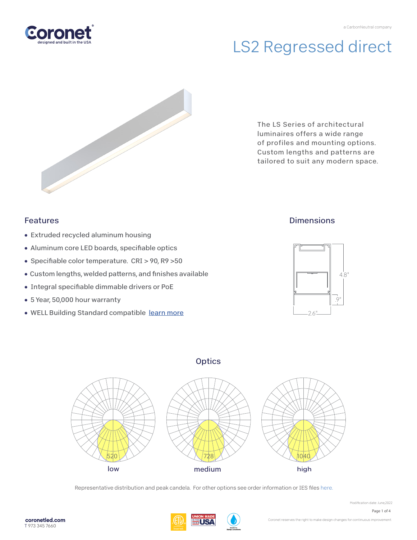

# LS2 Regressed direct



The LS Series of architectural luminaires offers a wide range of profiles and mounting options. Custom lengths and patterns are tailored to suit any modern space.

## Features

- Extruded recycled aluminum housing
- Aluminum core LED boards, specifiable optics
- Specifiable color temperature. CRI > 90, R9 > 50
- Custom lengths, welded patterns, and finishes available
- Integral specifiable dimmable drivers or PoE
- 5 Year, 50,000 hour warranty
- WELL Building Standard compatibl[e learn more](https://coronetled.com/well-v2-standard/)

## **Dimensions**







Representative distribution and peak candela. For other options see order information or IES files [here.](https://coronetled.com/downloads/)



Modification date: June,2022 Page 1 of 4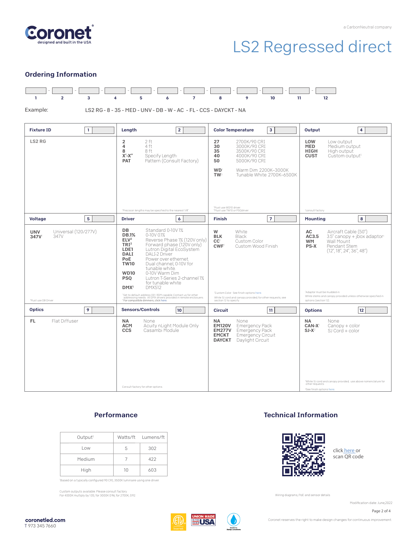

# LS2 Regressed direct

### Ordering Information



Example:

LS2 RG - 8 - 35 - MED - UNV - DB - W - AC - FL - CCS - DAYCKT - NA

| <b>Fixture ID</b>                                                                     | Length                                                                                                                                                                                                                                                                                                                                                                                                                                                                                                                                                                                                                                                                                 | $\mathbf{3}$                                                                                                                                                                                                                                                                      | Output                                                                                                                                                                                                                                                                          |
|---------------------------------------------------------------------------------------|----------------------------------------------------------------------------------------------------------------------------------------------------------------------------------------------------------------------------------------------------------------------------------------------------------------------------------------------------------------------------------------------------------------------------------------------------------------------------------------------------------------------------------------------------------------------------------------------------------------------------------------------------------------------------------------|-----------------------------------------------------------------------------------------------------------------------------------------------------------------------------------------------------------------------------------------------------------------------------------|---------------------------------------------------------------------------------------------------------------------------------------------------------------------------------------------------------------------------------------------------------------------------------|
| $\mathbf{1}$                                                                          | $\overline{\mathbf{2}}$                                                                                                                                                                                                                                                                                                                                                                                                                                                                                                                                                                                                                                                                | <b>Color Temperature</b>                                                                                                                                                                                                                                                          | 4                                                                                                                                                                                                                                                                               |
| LS2 RG                                                                                | 2 ft<br>2<br>4<br>4 ft<br>8 ft<br>8<br>$X'$ - $X''$<br>Specify Length<br>Pattern (Consult Factory)<br><b>PAT</b><br>'Precision lengths may be specified to the nearest 1/8".                                                                                                                                                                                                                                                                                                                                                                                                                                                                                                           | 27<br>2700K/90 CRI<br>30<br>3000K/90 CRI<br>35<br>3500K/90 CRI<br>40<br>4000K/90 CRI<br>50<br>5000K/90 CRI<br><b>WD</b><br>Warm Dim 2200K-3000K<br>TW <sup>2</sup><br>Tunable White 2700K-6500K<br><sup>1</sup> Must use WD10 driver.<br><sup>2</sup> Must use TW10 or PSQdriver. | LOW<br>Low output<br>MED<br>Medium output<br><b>HIGH</b><br>High output<br><b>CUST</b><br>Custom output <sup>1</sup><br>'consult factory                                                                                                                                        |
| 5                                                                                     | <b>Driver</b>                                                                                                                                                                                                                                                                                                                                                                                                                                                                                                                                                                                                                                                                          | $\overline{7}$                                                                                                                                                                                                                                                                    | 8                                                                                                                                                                                                                                                                               |
| <b>Voltage</b>                                                                        | 6                                                                                                                                                                                                                                                                                                                                                                                                                                                                                                                                                                                                                                                                                      | <b>Finish</b>                                                                                                                                                                                                                                                                     | <b>Mounting</b>                                                                                                                                                                                                                                                                 |
| Universal (120/277V)<br><b>UNV</b><br>347V<br>347V<br><sup>1</sup> Must use DB Driver | <b>DB</b><br>Standard 0-10V1%<br><b>DB.1%</b><br>$0-10V$ 0.1%<br>ELV <sup>2</sup><br>Reverse Phase 1% (120V only)<br>TRI <sup>2</sup><br>Forward phase (120V only)<br>Lutron Digital EcoSystem<br>LDE1<br><b>DALI-2 Driver</b><br><b>DALI</b><br>Power over ethernet.<br>PoE<br><b>TW10</b><br>Dual channel, 0-10V for<br>tunable white.<br><b>WD10</b><br>0-10V Warm Dim<br>Lutron T-Series 2-channel 1%<br><b>PSQ</b><br>for tunable white<br>DMX <sup>1</sup><br><b>DMX512</b><br><sup>1</sup> Set to default address 001 RDM capable. Contact us for other<br>addressing needs. All DMX drivers provided in remote enclosuers.<br><sup>2</sup> For compatible dimmers, click here. | White<br>W<br>Black<br><b>BLK</b><br>CC <sup>1</sup><br>Custom Color<br><b>CWF</b><br>Custom Wood Finish<br>'Custom Color. See finish options here.<br>White SJ cord and canopy provided; for other requests, see<br>section 12 to specify.                                       | Aircraft Cable (50")<br>AC<br>AC3.5<br>3.5" canopy + jbox adaptor1<br>Wall Mount<br><b>WM</b><br>Pendant Stem<br>PS-X<br>(12'', 18'', 24'', 36'', 48'')<br>'Adaptor must be mudded-in<br>White stems and canopy provided unless otherwise specified in<br>options (section 12). |
| <b>Optics</b>                                                                         | <b>Sensors/Controls</b>                                                                                                                                                                                                                                                                                                                                                                                                                                                                                                                                                                                                                                                                | 11                                                                                                                                                                                                                                                                                | 12                                                                                                                                                                                                                                                                              |
| 9                                                                                     | 10                                                                                                                                                                                                                                                                                                                                                                                                                                                                                                                                                                                                                                                                                     | <b>Circuit</b>                                                                                                                                                                                                                                                                    | <b>Options</b>                                                                                                                                                                                                                                                                  |
| Flat Diffuser<br>FL.                                                                  | <b>NA</b><br>None<br><b>ACM</b><br>Acuity nLight Module Only<br>Casambi Module<br><b>CCS</b><br>Consult factory for other options.                                                                                                                                                                                                                                                                                                                                                                                                                                                                                                                                                     | <b>NA</b><br>None<br><b>EM120V</b><br><b>Emergency Pack</b><br><b>EM277V</b><br><b>Emergency Pack</b><br><b>EMCKT</b><br><b>Emergency Circuit</b><br>Daylight Circuit<br><b>DAYCKT</b>                                                                                            | <b>NA</b><br>None<br>CAN-X<br>$Canopy + color$<br>$SI-X^2$<br>SJ Cord + color<br>'White SJ cord and canopy provided; use above nomenclature for<br>other requests.<br><sup>2</sup> See finish options here.                                                                     |

### **Performance**

| Output <sup>1</sup> |    | Watts/ft Lumens/ft |
|---------------------|----|--------------------|
| Low                 | 5  | 302                |
| Medium              |    | 422                |
| High                | 1Λ | 603                |

'Based on a typically configured 90 CRI, 3500K luminaire using one driver.

Custom outputs available. Please consult factory. For 4000K multiply by 1.05; for 3000K 0.96; for 2700K, 0.92.

### Technical Information



click [here or](https://coronetled.com/warranty-technical-info/) scan QR code

Wiring diagrams, PoE and sensor details

Modification date: June.2022



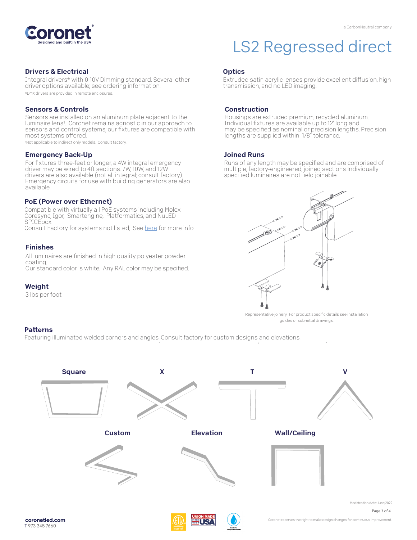

#### Drivers & Electrical

Integral drivers\* with 0-10V Dimming standard. Several other driver options available; see ordering information. \*DMX drivers are provided in remote enclosures.

#### Sensors & Controls

Sensors are installed on an aluminum plate adjacent to the luminaire lens1. Coronet remains agnostic in our approach to sensors and control systems; our fixtures are compatible with most systems offered.

1Not applicable to indirect only models. Consult factory.

#### Emergency Back-Up

For fixtures three-feet or longer, a 4W integral emergency driver may be wired to 4ft sections. 7W, 10W, and 12W drivers are also available (not all integral; consult factory). Emergency circuits for use with building generators are also available.

#### PoE (Power over Ethernet)

Compatible with virtually all PoE systems including Molex Coresync, Igor, Smartengine, Platformatics, and NuLED SPICEbox. Consult Factory for systems not listed, See here for more info.

#### Finishes

All luminaires are finished in high quality polyester powder coating. Our standard color is white. Any RAL color may be specified.

### Weight

3 lbs per foot

# LS2 Regressed direct

#### **Optics**

Extruded satin acrylic lenses provide excellent diffusion, high transmission, and no LED imaging.

#### Construction

Housings are extruded premium, recycled aluminum. Individual fixtures are available up to 12' long and may be specified as nominal or precision lengths. Precision lengths are supplied within 1/8" tolerance.

#### Joined Runs

Runs of any length may be specified and are comprised of multiple, factory-engineered, joined sections. Individually specified luminaires are not field joinable.



Representative joinery. For product specific details see installation guides or submittal drawings.

#### **Patterns**

Featuring illuminated welded corners and angles. Consult factory for custom designs and elevations.